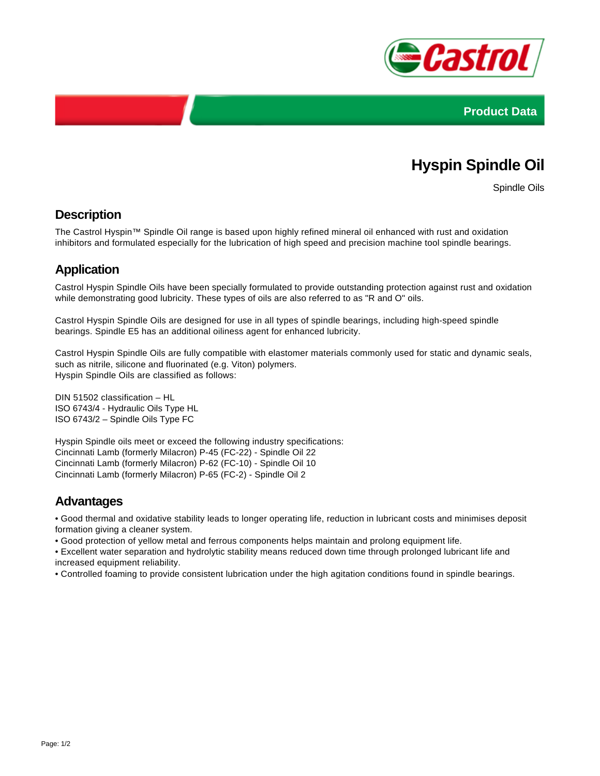



# **Hyspin Spindle Oil**

Spindle Oils

### **Description**

The Castrol Hyspin™ Spindle Oil range is based upon highly refined mineral oil enhanced with rust and oxidation inhibitors and formulated especially for the lubrication of high speed and precision machine tool spindle bearings.

## **Application**

Castrol Hyspin Spindle Oils have been specially formulated to provide outstanding protection against rust and oxidation while demonstrating good lubricity. These types of oils are also referred to as "R and O" oils.

Castrol Hyspin Spindle Oils are designed for use in all types of spindle bearings, including high-speed spindle bearings. Spindle E5 has an additional oiliness agent for enhanced lubricity.

Castrol Hyspin Spindle Oils are fully compatible with elastomer materials commonly used for static and dynamic seals, such as nitrile, silicone and fluorinated (e.g. Viton) polymers. Hyspin Spindle Oils are classified as follows:

DIN 51502 classification – HL ISO 6743/4 - Hydraulic Oils Type HL ISO 6743/2 – Spindle Oils Type FC

Hyspin Spindle oils meet or exceed the following industry specifications: Cincinnati Lamb (formerly Milacron) P-45 (FC-22) - Spindle Oil 22 Cincinnati Lamb (formerly Milacron) P-62 (FC-10) - Spindle Oil 10 Cincinnati Lamb (formerly Milacron) P-65 (FC-2) - Spindle Oil 2

### **Advantages**

• Good thermal and oxidative stability leads to longer operating life, reduction in lubricant costs and minimises deposit formation giving a cleaner system.

• Good protection of yellow metal and ferrous components helps maintain and prolong equipment life.

• Excellent water separation and hydrolytic stability means reduced down time through prolonged lubricant life and increased equipment reliability.

• Controlled foaming to provide consistent lubrication under the high agitation conditions found in spindle bearings.